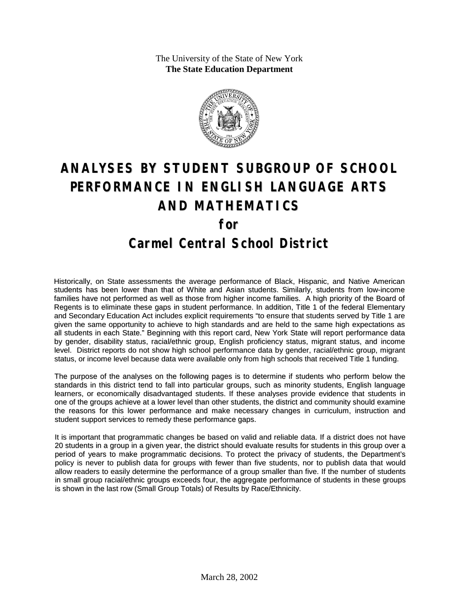The University of the State of New York **The State Education Department**



# **ANALYSES BY STUDENT SUBGROUP OF SCHOOL PERFORMANCE IN ENGLISH LANGUAGE ARTS AND MATHEMATICS for Carmel Central School District**

Historically, on State assessments the average performance of Black, Hispanic, and Native American students has been lower than that of White and Asian students. Similarly, students from low-income families have not performed as well as those from higher income families. A high priority of the Board of Regents is to eliminate these gaps in student performance. In addition, Title 1 of the federal Elementary and Secondary Education Act includes explicit requirements "to ensure that students served by Title 1 are given the same opportunity to achieve to high standards and are held to the same high expectations as all students in each State." Beginning with this report card, New York State will report performance data by gender, disability status, racial/ethnic group, English proficiency status, migrant status, and income level. District reports do not show high school performance data by gender, racial/ethnic group, migrant status, or income level because data were available only from high schools that received Title 1 funding.

The purpose of the analyses on the following pages is to determine if students who perform below the standards in this district tend to fall into particular groups, such as minority students, English language learners, or economically disadvantaged students. If these analyses provide evidence that students in one of the groups achieve at a lower level than other students, the district and community should examine the reasons for this lower performance and make necessary changes in curriculum, instruction and student support services to remedy these performance gaps.

It is important that programmatic changes be based on valid and reliable data. If a district does not have 20 students in a group in a given year, the district should evaluate results for students in this group over a period of years to make programmatic decisions. To protect the privacy of students, the Department's policy is never to publish data for groups with fewer than five students, nor to publish data that would allow readers to easily determine the performance of a group smaller than five. If the number of students in small group racial/ethnic groups exceeds four, the aggregate performance of students in these groups is shown in the last row (Small Group Totals) of Results by Race/Ethnicity.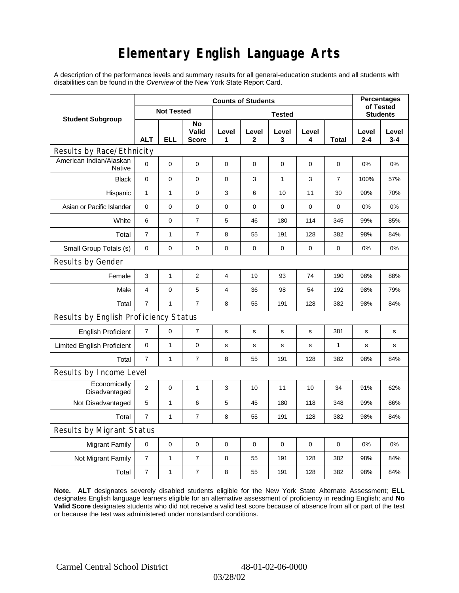# **Elementary English Language Arts**

A description of the performance levels and summary results for all general-education students and all students with disabilities can be found in the *Overview* of the New York State Report Card.

|                                          | <b>Counts of Students</b> |                   |                             |             |             |              |                 |                |                  | <b>Percentages</b><br>of Tested |  |
|------------------------------------------|---------------------------|-------------------|-----------------------------|-------------|-------------|--------------|-----------------|----------------|------------------|---------------------------------|--|
| <b>Student Subgroup</b>                  |                           | <b>Not Tested</b> |                             |             |             |              | <b>Students</b> |                |                  |                                 |  |
|                                          | <b>ALT</b>                | ELL               | No<br>Valid<br><b>Score</b> | Level<br>1  | Level<br>2  | Level<br>3   | Level<br>4      | Total          | Level<br>$2 - 4$ | Level<br>$3 - 4$                |  |
| Results by Race/Ethnicity                |                           |                   |                             |             |             |              |                 |                |                  |                                 |  |
| American Indian/Alaskan<br><b>Native</b> | $\mathbf 0$               | 0                 | 0                           | $\mathbf 0$ | $\mathbf 0$ | $\mathbf 0$  | 0               | 0              | 0%               | 0%                              |  |
| <b>Black</b>                             | $\mathbf 0$               | 0                 | 0                           | 0           | 3           | $\mathbf{1}$ | 3               | $\overline{7}$ | 100%             | 57%                             |  |
| Hispanic                                 | $\mathbf{1}$              | $\mathbf{1}$      | $\pmb{0}$                   | 3           | 6           | 10           | 11              | 30             | 90%              | 70%                             |  |
| Asian or Pacific Islander                | 0                         | 0                 | 0                           | 0           | $\mathbf 0$ | 0            | 0               | 0              | 0%               | 0%                              |  |
| White                                    | 6                         | 0                 | $\overline{7}$              | 5           | 46          | 180          | 114             | 345            | 99%              | 85%                             |  |
| Total                                    | $\overline{7}$            | $\mathbf{1}$      | $\overline{7}$              | 8           | 55          | 191          | 128             | 382            | 98%              | 84%                             |  |
| Small Group Totals (s)                   | 0                         | 0                 | 0                           | 0           | 0           | 0            | 0               | 0              | 0%               | 0%                              |  |
| Results by Gender                        |                           |                   |                             |             |             |              |                 |                |                  |                                 |  |
| Female                                   | 3                         | $\mathbf 1$       | $\overline{2}$              | 4           | 19          | 93           | 74              | 190            | 98%              | 88%                             |  |
| Male                                     | 4                         | 0                 | 5                           | 4           | 36          | 98           | 54              | 192            | 98%              | 79%                             |  |
| Total                                    | $\overline{7}$            | 1                 | $\overline{7}$              | 8           | 55          | 191          | 128             | 382            | 98%              | 84%                             |  |
| Results by English Proficiency Status    |                           |                   |                             |             |             |              |                 |                |                  |                                 |  |
| <b>English Proficient</b>                | $\overline{7}$            | 0                 | 7                           | s           | s           | s            | s               | 381            | s                | $\mathbf s$                     |  |
| <b>Limited English Proficient</b>        | 0                         | 1                 | $\pmb{0}$                   | s           | s           | $\mathbf S$  | s               | $\mathbf{1}$   | s                | s                               |  |
| Total                                    | $\overline{7}$            | 1                 | $\overline{7}$              | 8           | 55          | 191          | 128             | 382            | 98%              | 84%                             |  |
| Results by Income Level                  |                           |                   |                             |             |             |              |                 |                |                  |                                 |  |
| Economically<br>Disadvantaged            | $\mathbf{2}$              | 0                 | 1                           | 3           | 10          | 11           | 10              | 34             | 91%              | 62%                             |  |
| Not Disadvantaged                        | 5                         | 1                 | 6                           | 5           | 45          | 180          | 118             | 348            | 99%              | 86%                             |  |
| Total                                    | $\overline{7}$            | $\mathbf{1}$      | $\overline{7}$              | 8           | 55          | 191          | 128             | 382            | 98%              | 84%                             |  |
| Results by Migrant Status                |                           |                   |                             |             |             |              |                 |                |                  |                                 |  |
| <b>Migrant Family</b>                    | 0                         | 0                 | 0                           | 0           | 0           | $\mathbf 0$  | 0               | 0              | 0%               | 0%                              |  |
| Not Migrant Family                       | $\overline{7}$            | $\mathbf{1}$      | $\overline{7}$              | 8           | 55          | 191          | 128             | 382            | 98%              | 84%                             |  |
| Total                                    | $\boldsymbol{7}$          | 1                 | $\overline{7}$              | 8           | 55          | 191          | 128             | 382            | 98%              | 84%                             |  |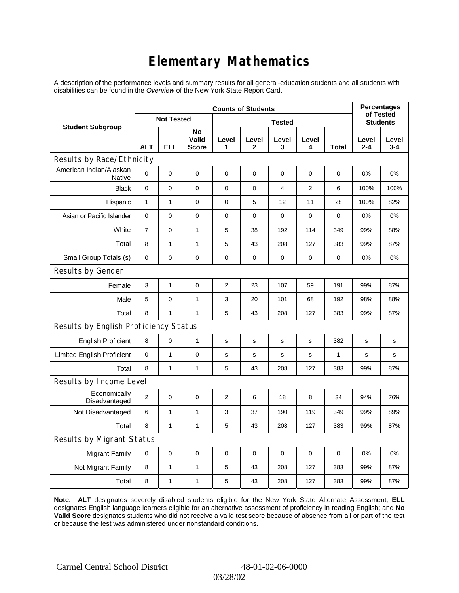# **Elementary Mathematics**

A description of the performance levels and summary results for all general-education students and all students with disabilities can be found in the *Overview* of the New York State Report Card.

|                                          | <b>Counts of Students</b> |                   |                             |                |             |                 |                |              | <b>Percentages</b><br>of Tested |                  |
|------------------------------------------|---------------------------|-------------------|-----------------------------|----------------|-------------|-----------------|----------------|--------------|---------------------------------|------------------|
| <b>Student Subgroup</b>                  |                           | <b>Not Tested</b> |                             |                |             | <b>Students</b> |                |              |                                 |                  |
|                                          | <b>ALT</b>                | <b>ELL</b>        | No<br>Valid<br><b>Score</b> | Level<br>1     | Level<br>2  | Level<br>3      | Level<br>4     | Total        | Level<br>$2 - 4$                | Level<br>$3 - 4$ |
| Results by Race/Ethnicity                |                           |                   |                             |                |             |                 |                |              |                                 |                  |
| American Indian/Alaskan<br><b>Native</b> | 0                         | $\mathbf 0$       | $\mathbf 0$                 | 0              | 0           | 0               | 0              | 0            | 0%                              | 0%               |
| <b>Black</b>                             | 0                         | 0                 | $\pmb{0}$                   | $\pmb{0}$      | $\mathbf 0$ | $\overline{4}$  | $\overline{2}$ | 6            | 100%                            | 100%             |
| Hispanic                                 | $\mathbf{1}$              | $\mathbf{1}$      | $\mathbf 0$                 | 0              | 5           | 12              | 11             | 28           | 100%                            | 82%              |
| Asian or Pacific Islander                | $\mathbf 0$               | 0                 | $\mathbf 0$                 | $\pmb{0}$      | $\mathbf 0$ | 0               | $\mathbf 0$    | $\mathbf 0$  | 0%                              | 0%               |
| White                                    | $\overline{7}$            | 0                 | $\mathbf{1}$                | 5              | 38          | 192             | 114            | 349          | 99%                             | 88%              |
| Total                                    | 8                         | $\mathbf{1}$      | $\mathbf{1}$                | 5              | 43          | 208             | 127            | 383          | 99%                             | 87%              |
| Small Group Totals (s)                   | 0                         | 0                 | $\mathbf 0$                 | $\pmb{0}$      | $\mathbf 0$ | 0               | 0              | 0            | 0%                              | 0%               |
| Results by Gender                        |                           |                   |                             |                |             |                 |                |              |                                 |                  |
| Female                                   | 3                         | $\mathbf{1}$      | $\pmb{0}$                   | $\overline{c}$ | 23          | 107             | 59             | 191          | 99%                             | 87%              |
| Male                                     | 5                         | 0                 | $\mathbf{1}$                | 3              | 20          | 101             | 68             | 192          | 98%                             | 88%              |
| Total                                    | 8                         | 1                 | $\mathbf{1}$                | 5              | 43          | 208             | 127            | 383          | 99%                             | 87%              |
| Results by English Proficiency Status    |                           |                   |                             |                |             |                 |                |              |                                 |                  |
| <b>English Proficient</b>                | 8                         | 0                 | $\mathbf{1}$                | $\mathbf s$    | S           | s               | s              | 382          | s                               | $\mathbf s$      |
| <b>Limited English Proficient</b>        | 0                         | $\mathbf{1}$      | $\pmb{0}$                   | s              | $\mathbf S$ | s               | s              | $\mathbf{1}$ | s                               | s                |
| Total                                    | 8                         | $\mathbf{1}$      | $\mathbf{1}$                | 5              | 43          | 208             | 127            | 383          | 99%                             | 87%              |
| Results by Income Level                  |                           |                   |                             |                |             |                 |                |              |                                 |                  |
| Economically<br>Disadvantaged            | $\overline{2}$            | 0                 | $\mathbf 0$                 | 2              | 6           | 18              | 8              | 34           | 94%                             | 76%              |
| Not Disadvantaged                        | 6                         | 1                 | $\mathbf{1}$                | 3              | 37          | 190             | 119            | 349          | 99%                             | 89%              |
| Total                                    | 8                         | 1                 | $\mathbf{1}$                | 5              | 43          | 208             | 127            | 383          | 99%                             | 87%              |
| Results by Migrant Status                |                           |                   |                             |                |             |                 |                |              |                                 |                  |
| <b>Migrant Family</b>                    | $\pmb{0}$                 | 0                 | $\pmb{0}$                   | $\pmb{0}$      | $\mathbf 0$ | 0               | 0              | $\mathbf 0$  | 0%                              | 0%               |
| Not Migrant Family                       | 8                         | $\mathbf{1}$      | $\mathbf{1}$                | 5              | 43          | 208             | 127            | 383          | 99%                             | 87%              |
| Total                                    | 8                         | 1                 | $\mathbf{1}$                | 5              | 43          | 208             | 127            | 383          | 99%                             | 87%              |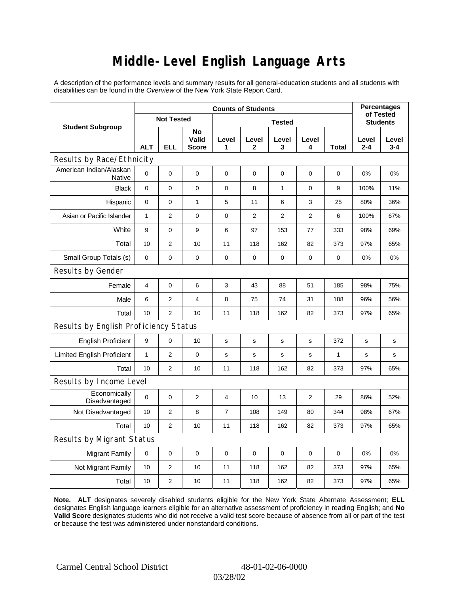### **Middle-Level English Language Arts**

A description of the performance levels and summary results for all general-education students and all students with disabilities can be found in the *Overview* of the New York State Report Card.

|                                       | <b>Counts of Students</b> |                   |                             |                |                       |                  |                 |              | <b>Percentages</b><br>of Tested |                  |
|---------------------------------------|---------------------------|-------------------|-----------------------------|----------------|-----------------------|------------------|-----------------|--------------|---------------------------------|------------------|
| <b>Student Subgroup</b>               |                           | <b>Not Tested</b> |                             |                |                       |                  | <b>Students</b> |              |                                 |                  |
|                                       | <b>ALT</b>                | <b>ELL</b>        | No<br>Valid<br><b>Score</b> | Level<br>1     | Level<br>$\mathbf{2}$ | Level<br>3       | Level<br>4      | <b>Total</b> | Level<br>$2 - 4$                | Level<br>$3 - 4$ |
| Results by Race/Ethnicity             |                           |                   |                             |                |                       |                  |                 |              |                                 |                  |
| American Indian/Alaskan<br>Native     | $\mathbf 0$               | 0                 | $\mathbf 0$                 | $\mathbf 0$    | 0                     | $\mathbf 0$      | 0               | 0            | 0%                              | 0%               |
| <b>Black</b>                          | $\mathbf 0$               | 0                 | $\mathbf 0$                 | $\pmb{0}$      | 8                     | $\mathbf{1}$     | 0               | 9            | 100%                            | 11%              |
| Hispanic                              | 0                         | 0                 | $\mathbf{1}$                | 5              | 11                    | 6                | 3               | 25           | 80%                             | 36%              |
| Asian or Pacific Islander             | $\mathbf{1}$              | $\overline{2}$    | $\pmb{0}$                   | $\pmb{0}$      | $\mathbf{2}$          | $\overline{2}$   | $\overline{2}$  | 6            | 100%                            | 67%              |
| White                                 | 9                         | 0                 | 9                           | 6              | 97                    | 153              | 77              | 333          | 98%                             | 69%              |
| Total                                 | 10                        | $\overline{2}$    | 10                          | 11             | 118                   | 162              | 82              | 373          | 97%                             | 65%              |
| Small Group Totals (s)                | $\mathbf 0$               | 0                 | $\pmb{0}$                   | $\mathbf 0$    | 0                     | $\boldsymbol{0}$ | 0               | 0            | 0%                              | 0%               |
| Results by Gender                     |                           |                   |                             |                |                       |                  |                 |              |                                 |                  |
| Female                                | $\overline{4}$            | 0                 | 6                           | 3              | 43                    | 88               | 51              | 185          | 98%                             | 75%              |
| Male                                  | 6                         | $\overline{2}$    | 4                           | 8              | 75                    | 74               | 31              | 188          | 96%                             | 56%              |
| Total                                 | 10                        | $\overline{2}$    | 10                          | 11             | 118                   | 162              | 82              | 373          | 97%                             | 65%              |
| Results by English Proficiency Status |                           |                   |                             |                |                       |                  |                 |              |                                 |                  |
| <b>English Proficient</b>             | 9                         | 0                 | 10                          | s              | s                     | s                | s               | 372          | s                               | $\mathbf s$      |
| <b>Limited English Proficient</b>     | $\mathbf{1}$              | $\overline{2}$    | $\pmb{0}$                   | s              | s                     | ${\tt S}$        | s               | $\mathbf{1}$ | s                               | s                |
| Total                                 | 10                        | $\overline{2}$    | 10                          | 11             | 118                   | 162              | 82              | 373          | 97%                             | 65%              |
| Results by Income Level               |                           |                   |                             |                |                       |                  |                 |              |                                 |                  |
| Economically<br>Disadvantaged         | $\mathbf 0$               | $\mathsf 0$       | $\overline{2}$              | 4              | 10                    | 13               | 2               | 29           | 86%                             | 52%              |
| Not Disadvantaged                     | 10                        | $\overline{2}$    | 8                           | $\overline{7}$ | 108                   | 149              | 80              | 344          | 98%                             | 67%              |
| Total                                 | 10                        | 2                 | 10                          | 11             | 118                   | 162              | 82              | 373          | 97%                             | 65%              |
| Results by Migrant Status             |                           |                   |                             |                |                       |                  |                 |              |                                 |                  |
| <b>Migrant Family</b>                 | $\mathbf 0$               | 0                 | 0                           | $\mathbf 0$    | $\mathbf 0$           | $\mathbf 0$      | 0               | $\mathbf 0$  | 0%                              | 0%               |
| Not Migrant Family                    | 10                        | 2                 | 10                          | 11             | 118                   | 162              | 82              | 373          | 97%                             | 65%              |
| Total                                 | 10                        | 2                 | 10                          | 11             | 118                   | 162              | 82              | 373          | 97%                             | 65%              |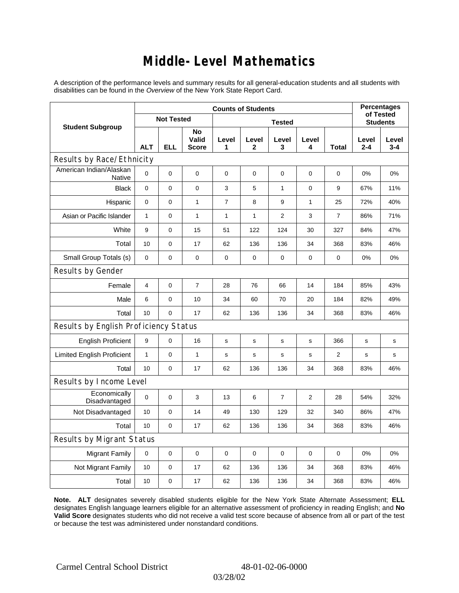### **Middle-Level Mathematics**

A description of the performance levels and summary results for all general-education students and all students with disabilities can be found in the *Overview* of the New York State Report Card.

|                                       | <b>Counts of Students</b> |                   |                                    |             |                       |                  |                |                 |                  | <b>Percentages</b><br>of Tested |  |
|---------------------------------------|---------------------------|-------------------|------------------------------------|-------------|-----------------------|------------------|----------------|-----------------|------------------|---------------------------------|--|
| <b>Student Subgroup</b>               |                           | <b>Not Tested</b> |                                    |             |                       |                  |                | <b>Students</b> |                  |                                 |  |
|                                       | <b>ALT</b>                | <b>ELL</b>        | <b>No</b><br>Valid<br><b>Score</b> | Level<br>1  | Level<br>$\mathbf{2}$ | Level<br>3       | Level<br>4     | <b>Total</b>    | Level<br>$2 - 4$ | Level<br>$3 - 4$                |  |
| Results by Race/Ethnicity             |                           |                   |                                    |             |                       |                  |                |                 |                  |                                 |  |
| American Indian/Alaskan<br>Native     | $\Omega$                  | 0                 | $\mathbf 0$                        | $\mathbf 0$ | $\mathbf 0$           | 0                | 0              | 0               | $0\%$            | 0%                              |  |
| <b>Black</b>                          | $\mathbf 0$               | 0                 | $\pmb{0}$                          | 3           | 5                     | $\mathbf{1}$     | 0              | 9               | 67%              | 11%                             |  |
| Hispanic                              | 0                         | 0                 | 1                                  | 7           | 8                     | 9                | 1              | 25              | 72%              | 40%                             |  |
| Asian or Pacific Islander             | $\mathbf{1}$              | 0                 | $\mathbf{1}$                       | 1           | $\mathbf{1}$          | $\overline{2}$   | 3              | $\overline{7}$  | 86%              | 71%                             |  |
| White                                 | 9                         | 0                 | 15                                 | 51          | 122                   | 124              | 30             | 327             | 84%              | 47%                             |  |
| Total                                 | 10                        | 0                 | 17                                 | 62          | 136                   | 136              | 34             | 368             | 83%              | 46%                             |  |
| Small Group Totals (s)                | $\mathbf 0$               | 0                 | 0                                  | 0           | 0                     | 0                | 0              | 0               | 0%               | 0%                              |  |
| Results by Gender                     |                           |                   |                                    |             |                       |                  |                |                 |                  |                                 |  |
| Female                                | $\overline{4}$            | 0                 | $\overline{7}$                     | 28          | 76                    | 66               | 14             | 184             | 85%              | 43%                             |  |
| Male                                  | 6                         | 0                 | 10                                 | 34          | 60                    | 70               | 20             | 184             | 82%              | 49%                             |  |
| Total                                 | 10                        | 0                 | 17                                 | 62          | 136                   | 136              | 34             | 368             | 83%              | 46%                             |  |
| Results by English Proficiency Status |                           |                   |                                    |             |                       |                  |                |                 |                  |                                 |  |
| <b>English Proficient</b>             | 9                         | $\mathsf 0$       | 16                                 | s           | s                     | s                | s              | 366             | s                | $\mathbf s$                     |  |
| <b>Limited English Proficient</b>     | $\mathbf{1}$              | 0                 | $\mathbf{1}$                       | s           | s                     | $\mathbf S$      | s              | 2               | s                | s                               |  |
| Total                                 | 10                        | 0                 | 17                                 | 62          | 136                   | 136              | 34             | 368             | 83%              | 46%                             |  |
| Results by Income Level               |                           |                   |                                    |             |                       |                  |                |                 |                  |                                 |  |
| Economically<br>Disadvantaged         | $\mathbf 0$               | 0                 | 3                                  | 13          | 6                     | $\overline{7}$   | $\overline{2}$ | 28              | 54%              | 32%                             |  |
| Not Disadvantaged                     | 10                        | 0                 | 14                                 | 49          | 130                   | 129              | 32             | 340             | 86%              | 47%                             |  |
| Total                                 | 10                        | 0                 | 17                                 | 62          | 136                   | 136              | 34             | 368             | 83%              | 46%                             |  |
| <b>Results by Migrant Status</b>      |                           |                   |                                    |             |                       |                  |                |                 |                  |                                 |  |
| <b>Migrant Family</b>                 | $\mathbf 0$               | 0                 | $\pmb{0}$                          | 0           | 0                     | $\boldsymbol{0}$ | 0              | 0               | 0%               | 0%                              |  |
| Not Migrant Family                    | 10                        | 0                 | 17                                 | 62          | 136                   | 136              | 34             | 368             | 83%              | 46%                             |  |
| Total                                 | 10                        | 0                 | 17                                 | 62          | 136                   | 136              | 34             | 368             | 83%              | 46%                             |  |